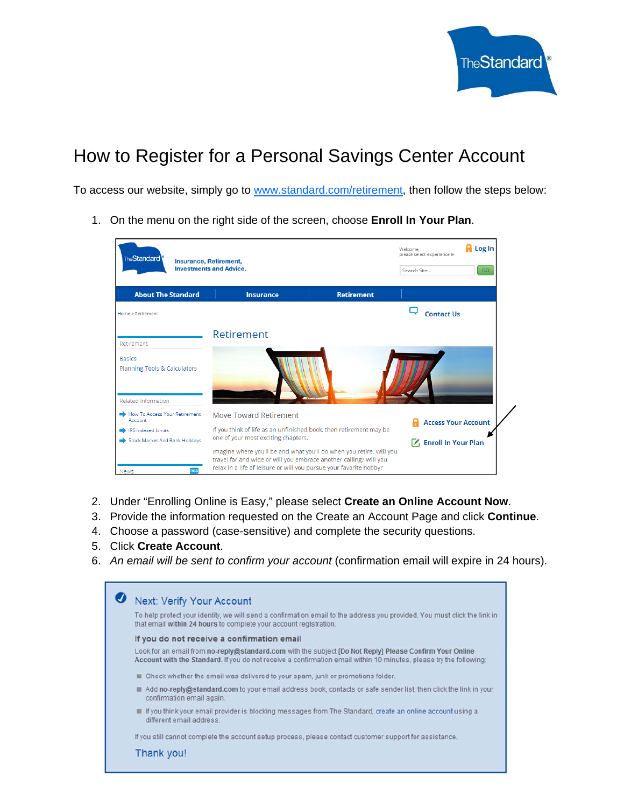

# How to Register for a Personal Savings Center Account

To access our website, simply go to www.standard.com/retirement, then follow the steps below:

1. On the menu on the right side of the screen, choose **Enroll In Your Plan**.

| <b>TheStandard</b><br>Insurance, Retirement,<br><b>Investments and Advice.</b> |                                                                                                                                                                                                                 |                   | <b>H</b> Log In<br>Welcome.<br>please select experience »<br>Search Site<br>GO. |  |
|--------------------------------------------------------------------------------|-----------------------------------------------------------------------------------------------------------------------------------------------------------------------------------------------------------------|-------------------|---------------------------------------------------------------------------------|--|
| <b>About The Standard</b>                                                      | <b>Insurance</b>                                                                                                                                                                                                | <b>Retirement</b> |                                                                                 |  |
| Home > Retirement                                                              |                                                                                                                                                                                                                 |                   | <b>Contact Us</b>                                                               |  |
|                                                                                | Retirement                                                                                                                                                                                                      |                   |                                                                                 |  |
| Retirement                                                                     |                                                                                                                                                                                                                 |                   |                                                                                 |  |
| <b>Basics</b><br>Planning Tools & Calculators                                  |                                                                                                                                                                                                                 |                   |                                                                                 |  |
| Related Information                                                            |                                                                                                                                                                                                                 |                   |                                                                                 |  |
| How To Access Your Retirement<br>Account                                       | Move Toward Retirement                                                                                                                                                                                          |                   | <b>Access Your Account</b>                                                      |  |
| <b>IRS Indexed Limits</b>                                                      | If you think of life as an unfinished book, then retirement may be                                                                                                                                              |                   |                                                                                 |  |
| Stock Market And Bank Holidays                                                 | one of your most exciting chapters.                                                                                                                                                                             |                   | 区 Enroll In Your Plan                                                           |  |
| <b>RSS</b><br><b>News</b>                                                      | Imagine where you'll be and what you'll do when you retire. Will you<br>travel far and wide or will you embrace another calling? Will you<br>relax in a life of leisure or will you pursue your favorite hobby? |                   |                                                                                 |  |

- 2. Under "Enrolling Online is Easy," please select **Create an Online Account Now**.
- 3. Provide the information requested on the Create an Account Page and click **Continue**.
- 4. Choose a password (case-sensitive) and complete the security questions.
- 5. Click **Create Account**.
- 6. *An email will be sent to confirm your account* (confirmation email will expire in 24 hours).

| Next: Verify Your Account                                                                                                                                                                                                     |  |  |
|-------------------------------------------------------------------------------------------------------------------------------------------------------------------------------------------------------------------------------|--|--|
|                                                                                                                                                                                                                               |  |  |
| To help protect your identity, we will send a confirmation email to the address you provided. You must click the link in<br>that email within 24 hours to complete your account registration.                                 |  |  |
| If you do not receive a confirmation email                                                                                                                                                                                    |  |  |
| Look for an email from no-reply@standard.com with the subject [Do Not Reply] Please Confirm Your Online<br>Account with the Standard. If you do not receive a confirmation email within 10 minutes, please try the following: |  |  |
| Check whether the email was delivered to your spam, junk or promotions folder.                                                                                                                                                |  |  |
| Add no-reply@standard.com to your email address book, contacts or safe sender list, then click the link in your<br>confirmation email again.                                                                                  |  |  |
| If you think your email provider is blocking messages from The Standard, create an online account using a<br>different email address.                                                                                         |  |  |
| If you still cannot complete the account setup process, please contact customer support for assistance.                                                                                                                       |  |  |
| Thank you!                                                                                                                                                                                                                    |  |  |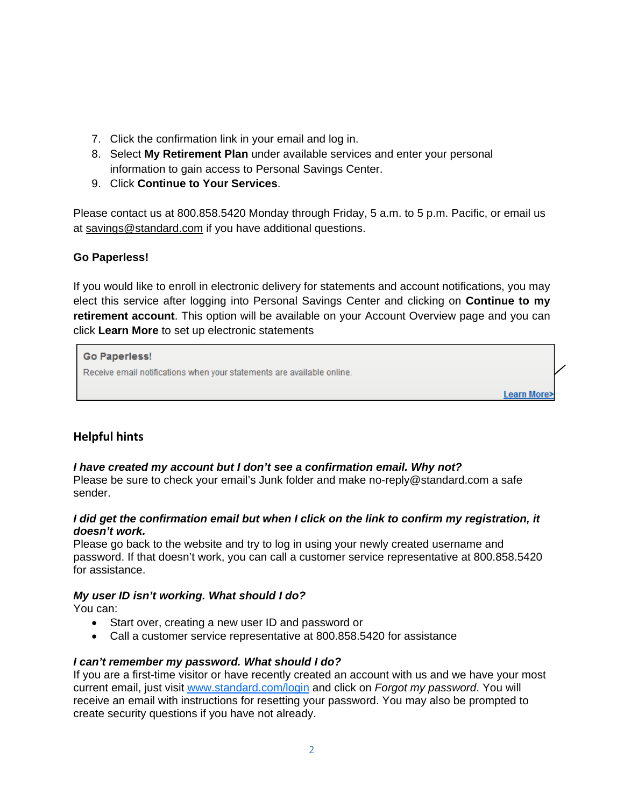- 7. Click the confirmation link in your email and log in.
- 8. Select **My Retirement Plan** under available services and enter your personal information to gain access to Personal Savings Center.
- 9. Click **Continue to Your Services**.

Please contact us at 800.858.5420 Monday through Friday, 5 a.m. to 5 p.m. Pacific, or email us at savings@standard.com if you have additional questions.

## **Go Paperless!**

If you would like to enroll in electronic delivery for statements and account notifications, you may elect this service after logging into Personal Savings Center and clicking on **Continue to my retirement account**. This option will be available on your Account Overview page and you can click **Learn More** to set up electronic statements

**Go Paperless!** Receive email notifications when your statements are available online. Learn More>

# **Helpful hints**

## *I have created my account but I don't see a confirmation email. Why not?*

Please be sure to check your email's Junk folder and make no-reply@standard.com a safe sender.

#### *I did get the confirmation email but when I click on the link to confirm my registration, it doesn't work.*

Please go back to the website and try to log in using your newly created username and password. If that doesn't work, you can call a customer service representative at 800.858.5420 for assistance.

## *My user ID isn't working. What should I do?*

You can:

- Start over, creating a new user ID and password or
- Call a customer service representative at 800.858.5420 for assistance

# *I can't remember my password. What should I do?*

If you are a first-time visitor or have recently created an account with us and we have your most current email, just visit www.standard.com/login and click on *Forgot my password*. You will receive an email with instructions for resetting your password. You may also be prompted to create security questions if you have not already.